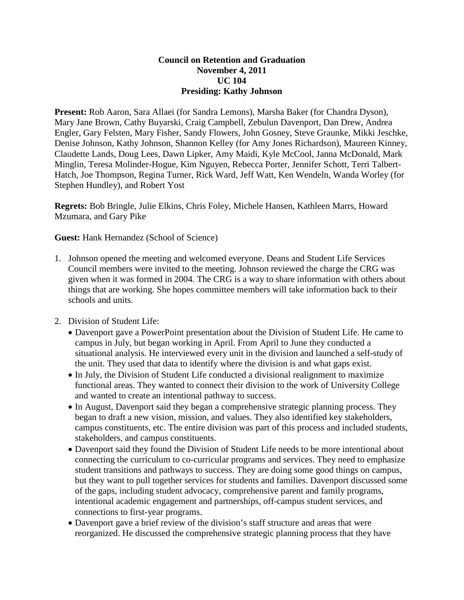## **Council on Retention and Graduation November 4, 2011 UC 104 Presiding: Kathy Johnson**

**Present:** Rob Aaron, Sara Allaei (for Sandra Lemons), Marsha Baker (for Chandra Dyson), Mary Jane Brown, Cathy Buyarski, Craig Campbell, Zebulun Davenport, Dan Drew, Andrea Engler, Gary Felsten, Mary Fisher, Sandy Flowers, John Gosney, Steve Graunke, Mikki Jeschke, Denise Johnson, Kathy Johnson, Shannon Kelley (for Amy Jones Richardson), Maureen Kinney, Claudette Lands, Doug Lees, Dawn Lipker, Amy Maidi, Kyle McCool, Janna McDonald, Mark Minglin, Teresa Molinder-Hogue, Kim Nguyen, Rebecca Porter, Jennifer Schott, Terri Talbert-Hatch, Joe Thompson, Regina Turner, Rick Ward, Jeff Watt, Ken Wendeln, Wanda Worley (for Stephen Hundley), and Robert Yost

**Regrets:** Bob Bringle, Julie Elkins, Chris Foley, Michele Hansen, Kathleen Marrs, Howard Mzumara, and Gary Pike

**Guest:** Hank Hernandez (School of Science)

- 1. Johnson opened the meeting and welcomed everyone. Deans and Student Life Services Council members were invited to the meeting. Johnson reviewed the charge the CRG was given when it was formed in 2004. The CRG is a way to share information with others about things that are working. She hopes committee members will take information back to their schools and units.
- 2. Division of Student Life:
	- Davenport gave a PowerPoint presentation about the Division of Student Life. He came to campus in July, but began working in April. From April to June they conducted a situational analysis. He interviewed every unit in the division and launched a self-study of the unit. They used that data to identify where the division is and what gaps exist.
	- In July, the Division of Student Life conducted a divisional realignment to maximize functional areas. They wanted to connect their division to the work of University College and wanted to create an intentional pathway to success.
	- In August, Davenport said they began a comprehensive strategic planning process. They began to draft a new vision, mission, and values. They also identified key stakeholders, campus constituents, etc. The entire division was part of this process and included students, stakeholders, and campus constituents.
	- Davenport said they found the Division of Student Life needs to be more intentional about connecting the curriculum to co-curricular programs and services. They need to emphasize student transitions and pathways to success. They are doing some good things on campus, but they want to pull together services for students and families. Davenport discussed some of the gaps, including student advocacy, comprehensive parent and family programs, intentional academic engagement and partnerships, off-campus student services, and connections to first-year programs.
	- Davenport gave a brief review of the division's staff structure and areas that were reorganized. He discussed the comprehensive strategic planning process that they have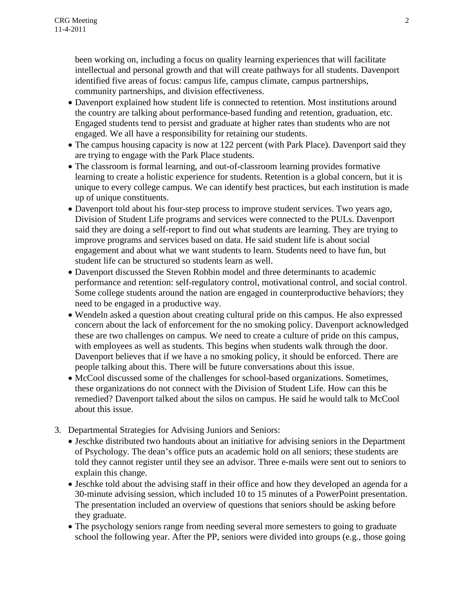been working on, including a focus on quality learning experiences that will facilitate intellectual and personal growth and that will create pathways for all students. Davenport identified five areas of focus: campus life, campus climate, campus partnerships, community partnerships, and division effectiveness.

- Davenport explained how student life is connected to retention. Most institutions around the country are talking about performance-based funding and retention, graduation, etc. Engaged students tend to persist and graduate at higher rates than students who are not engaged. We all have a responsibility for retaining our students.
- The campus housing capacity is now at 122 percent (with Park Place). Davenport said they are trying to engage with the Park Place students.
- The classroom is formal learning, and out-of-classroom learning provides formative learning to create a holistic experience for students. Retention is a global concern, but it is unique to every college campus. We can identify best practices, but each institution is made up of unique constituents.
- Davenport told about his four-step process to improve student services. Two years ago, Division of Student Life programs and services were connected to the PULs. Davenport said they are doing a self-report to find out what students are learning. They are trying to improve programs and services based on data. He said student life is about social engagement and about what we want students to learn. Students need to have fun, but student life can be structured so students learn as well.
- Davenport discussed the Steven Robbin model and three determinants to academic performance and retention: self-regulatory control, motivational control, and social control. Some college students around the nation are engaged in counterproductive behaviors; they need to be engaged in a productive way.
- Wendeln asked a question about creating cultural pride on this campus. He also expressed concern about the lack of enforcement for the no smoking policy. Davenport acknowledged these are two challenges on campus. We need to create a culture of pride on this campus, with employees as well as students. This begins when students walk through the door. Davenport believes that if we have a no smoking policy, it should be enforced. There are people talking about this. There will be future conversations about this issue.
- McCool discussed some of the challenges for school-based organizations. Sometimes, these organizations do not connect with the Division of Student Life. How can this be remedied? Davenport talked about the silos on campus. He said he would talk to McCool about this issue.
- 3. Departmental Strategies for Advising Juniors and Seniors:
	- Jeschke distributed two handouts about an initiative for advising seniors in the Department of Psychology. The dean's office puts an academic hold on all seniors; these students are told they cannot register until they see an advisor. Three e-mails were sent out to seniors to explain this change.
	- Jeschke told about the advising staff in their office and how they developed an agenda for a 30-minute advising session, which included 10 to 15 minutes of a PowerPoint presentation. The presentation included an overview of questions that seniors should be asking before they graduate.
	- The psychology seniors range from needing several more semesters to going to graduate school the following year. After the PP, seniors were divided into groups (e.g., those going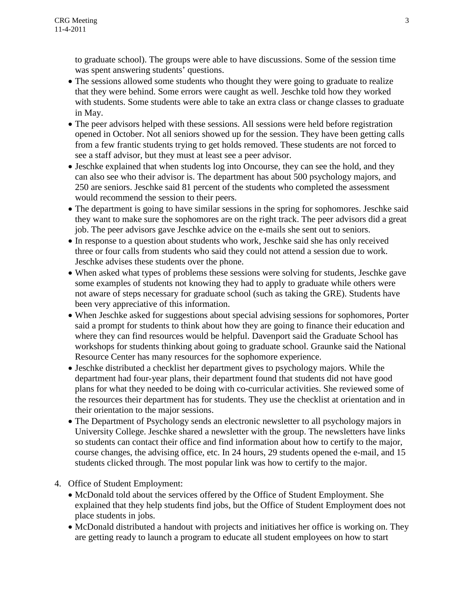to graduate school). The groups were able to have discussions. Some of the session time was spent answering students' questions.

- The sessions allowed some students who thought they were going to graduate to realize that they were behind. Some errors were caught as well. Jeschke told how they worked with students. Some students were able to take an extra class or change classes to graduate in May.
- The peer advisors helped with these sessions. All sessions were held before registration opened in October. Not all seniors showed up for the session. They have been getting calls from a few frantic students trying to get holds removed. These students are not forced to see a staff advisor, but they must at least see a peer advisor.
- Jeschke explained that when students log into Oncourse, they can see the hold, and they can also see who their advisor is. The department has about 500 psychology majors, and 250 are seniors. Jeschke said 81 percent of the students who completed the assessment would recommend the session to their peers.
- The department is going to have similar sessions in the spring for sophomores. Jeschke said they want to make sure the sophomores are on the right track. The peer advisors did a great job. The peer advisors gave Jeschke advice on the e-mails she sent out to seniors.
- In response to a question about students who work, Jeschke said she has only received three or four calls from students who said they could not attend a session due to work. Jeschke advises these students over the phone.
- When asked what types of problems these sessions were solving for students, Jeschke gave some examples of students not knowing they had to apply to graduate while others were not aware of steps necessary for graduate school (such as taking the GRE). Students have been very appreciative of this information.
- When Jeschke asked for suggestions about special advising sessions for sophomores, Porter said a prompt for students to think about how they are going to finance their education and where they can find resources would be helpful. Davenport said the Graduate School has workshops for students thinking about going to graduate school. Graunke said the National Resource Center has many resources for the sophomore experience.
- Jeschke distributed a checklist her department gives to psychology majors. While the department had four-year plans, their department found that students did not have good plans for what they needed to be doing with co-curricular activities. She reviewed some of the resources their department has for students. They use the checklist at orientation and in their orientation to the major sessions.
- The Department of Psychology sends an electronic newsletter to all psychology majors in University College. Jeschke shared a newsletter with the group. The newsletters have links so students can contact their office and find information about how to certify to the major, course changes, the advising office, etc. In 24 hours, 29 students opened the e-mail, and 15 students clicked through. The most popular link was how to certify to the major.
- 4. Office of Student Employment:
	- McDonald told about the services offered by the Office of Student Employment. She explained that they help students find jobs, but the Office of Student Employment does not place students in jobs.
	- McDonald distributed a handout with projects and initiatives her office is working on. They are getting ready to launch a program to educate all student employees on how to start